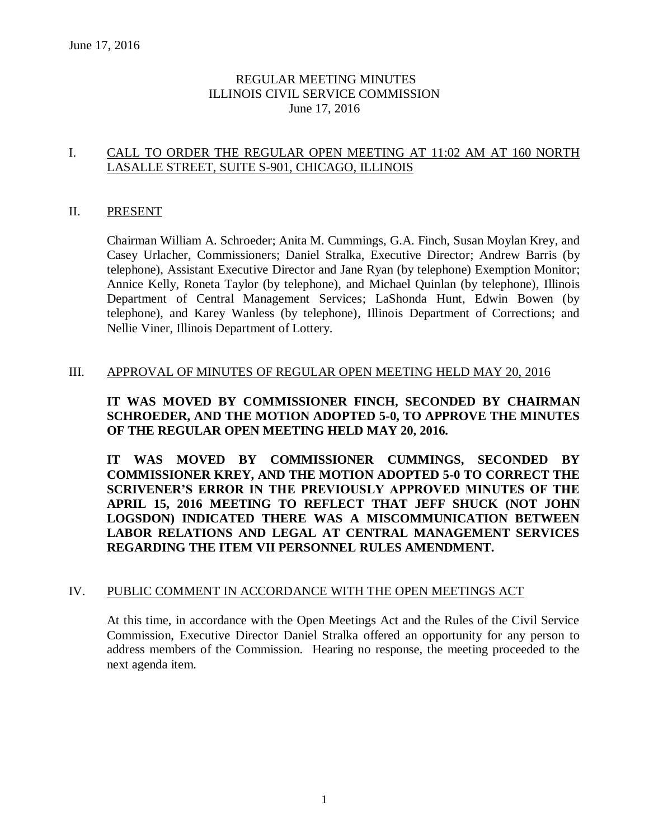### REGULAR MEETING MINUTES ILLINOIS CIVIL SERVICE COMMISSION June 17, 2016

#### I. CALL TO ORDER THE REGULAR OPEN MEETING AT 11:02 AM AT 160 NORTH LASALLE STREET, SUITE S-901, CHICAGO, ILLINOIS

#### II. PRESENT

Chairman William A. Schroeder; Anita M. Cummings, G.A. Finch, Susan Moylan Krey, and Casey Urlacher, Commissioners; Daniel Stralka, Executive Director; Andrew Barris (by telephone), Assistant Executive Director and Jane Ryan (by telephone) Exemption Monitor; Annice Kelly, Roneta Taylor (by telephone), and Michael Quinlan (by telephone), Illinois Department of Central Management Services; LaShonda Hunt, Edwin Bowen (by telephone), and Karey Wanless (by telephone), Illinois Department of Corrections; and Nellie Viner, Illinois Department of Lottery.

#### III. APPROVAL OF MINUTES OF REGULAR OPEN MEETING HELD MAY 20, 2016

### **IT WAS MOVED BY COMMISSIONER FINCH, SECONDED BY CHAIRMAN SCHROEDER, AND THE MOTION ADOPTED 5-0, TO APPROVE THE MINUTES OF THE REGULAR OPEN MEETING HELD MAY 20, 2016.**

**IT WAS MOVED BY COMMISSIONER CUMMINGS, SECONDED BY COMMISSIONER KREY, AND THE MOTION ADOPTED 5-0 TO CORRECT THE SCRIVENER'S ERROR IN THE PREVIOUSLY APPROVED MINUTES OF THE APRIL 15, 2016 MEETING TO REFLECT THAT JEFF SHUCK (NOT JOHN LOGSDON) INDICATED THERE WAS A MISCOMMUNICATION BETWEEN LABOR RELATIONS AND LEGAL AT CENTRAL MANAGEMENT SERVICES REGARDING THE ITEM VII PERSONNEL RULES AMENDMENT.**

#### IV. PUBLIC COMMENT IN ACCORDANCE WITH THE OPEN MEETINGS ACT

At this time, in accordance with the Open Meetings Act and the Rules of the Civil Service Commission, Executive Director Daniel Stralka offered an opportunity for any person to address members of the Commission. Hearing no response, the meeting proceeded to the next agenda item.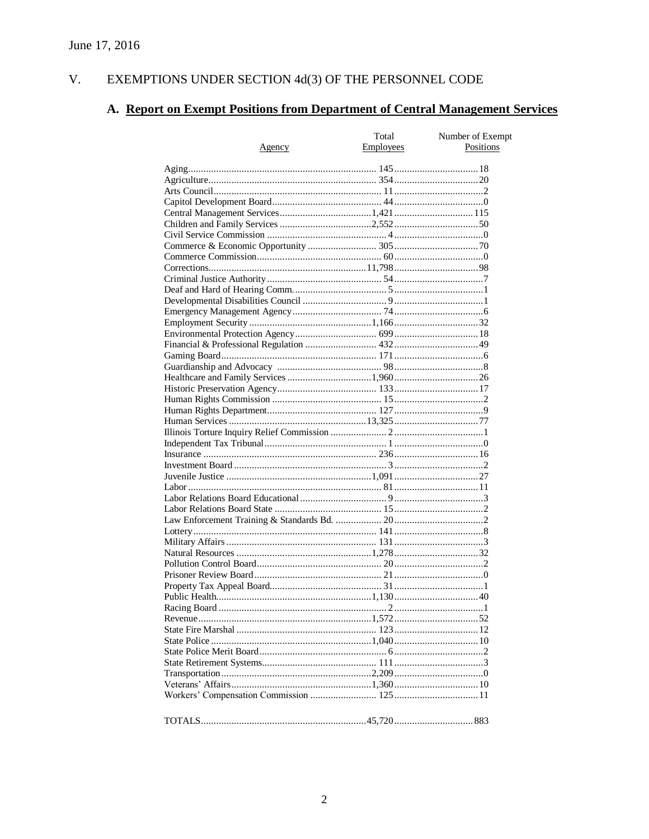#### $V<sub>r</sub>$ EXEMPTIONS UNDER SECTION  $4d(3)$  OF THE PERSONNEL CODE

# A. Report on Exempt Positions from Department of Central Management Services

|               | Total            | Number of Exempt |
|---------------|------------------|------------------|
| <u>Agency</u> | <b>Employees</b> | Positions        |
|               |                  |                  |
|               |                  |                  |
|               |                  |                  |
|               |                  |                  |
|               |                  |                  |
|               |                  |                  |
|               |                  |                  |
|               |                  |                  |
|               |                  |                  |
|               |                  |                  |
|               |                  |                  |
|               |                  |                  |
|               |                  |                  |
|               |                  |                  |
|               |                  |                  |
|               |                  |                  |
|               |                  |                  |
|               |                  |                  |
|               |                  |                  |
|               |                  |                  |
|               |                  |                  |
|               |                  |                  |
|               |                  |                  |
|               |                  |                  |
|               |                  |                  |
|               |                  |                  |
|               |                  |                  |
|               |                  |                  |
|               |                  |                  |
|               |                  |                  |
|               |                  |                  |
|               |                  |                  |
|               |                  |                  |
|               |                  |                  |
|               |                  |                  |
|               |                  |                  |
|               |                  |                  |
|               |                  |                  |
|               |                  |                  |
|               |                  |                  |
|               |                  |                  |
|               |                  |                  |
|               |                  |                  |
|               |                  |                  |
|               |                  |                  |
|               |                  |                  |
|               |                  |                  |
|               |                  |                  |
|               |                  |                  |
|               |                  |                  |
|               |                  |                  |
|               |                  |                  |
|               |                  |                  |
|               |                  |                  |
|               |                  |                  |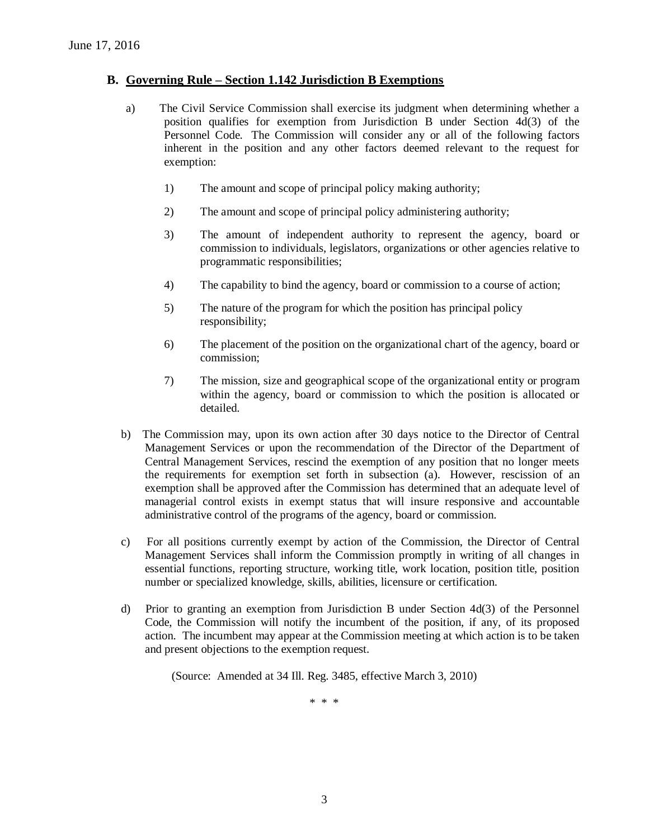#### **B. Governing Rule – Section 1.142 Jurisdiction B Exemptions**

- a) The Civil Service Commission shall exercise its judgment when determining whether a position qualifies for exemption from Jurisdiction B under Section 4d(3) of the Personnel Code. The Commission will consider any or all of the following factors inherent in the position and any other factors deemed relevant to the request for exemption:
	- 1) The amount and scope of principal policy making authority;
	- 2) The amount and scope of principal policy administering authority;
	- 3) The amount of independent authority to represent the agency, board or commission to individuals, legislators, organizations or other agencies relative to programmatic responsibilities;
	- 4) The capability to bind the agency, board or commission to a course of action;
	- 5) The nature of the program for which the position has principal policy responsibility;
	- 6) The placement of the position on the organizational chart of the agency, board or commission;
	- 7) The mission, size and geographical scope of the organizational entity or program within the agency, board or commission to which the position is allocated or detailed.
- b) The Commission may, upon its own action after 30 days notice to the Director of Central Management Services or upon the recommendation of the Director of the Department of Central Management Services, rescind the exemption of any position that no longer meets the requirements for exemption set forth in subsection (a). However, rescission of an exemption shall be approved after the Commission has determined that an adequate level of managerial control exists in exempt status that will insure responsive and accountable administrative control of the programs of the agency, board or commission.
- c) For all positions currently exempt by action of the Commission, the Director of Central Management Services shall inform the Commission promptly in writing of all changes in essential functions, reporting structure, working title, work location, position title, position number or specialized knowledge, skills, abilities, licensure or certification.
- d) Prior to granting an exemption from Jurisdiction B under Section 4d(3) of the Personnel Code, the Commission will notify the incumbent of the position, if any, of its proposed action. The incumbent may appear at the Commission meeting at which action is to be taken and present objections to the exemption request.

(Source: Amended at 34 Ill. Reg. 3485, effective March 3, 2010)

\* \* \*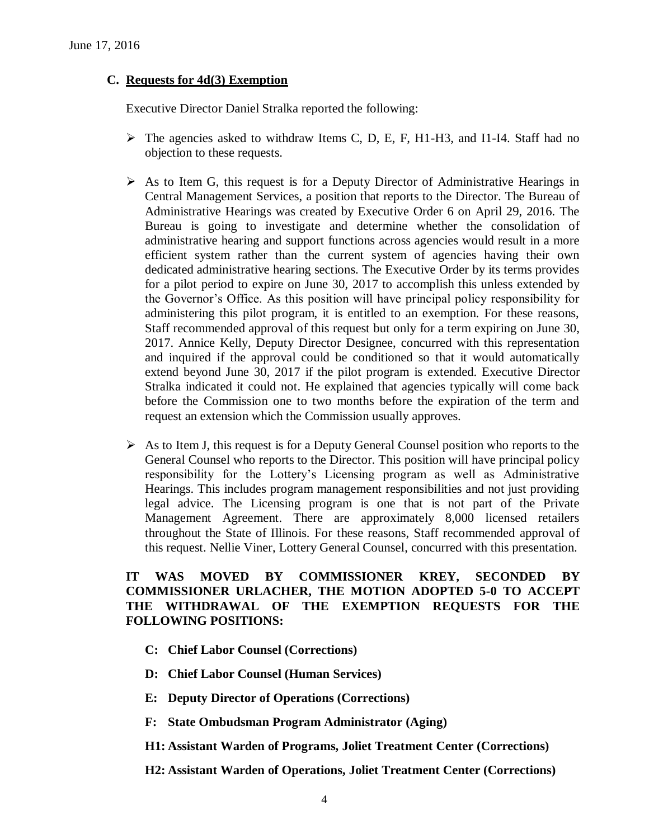#### **C. Requests for 4d(3) Exemption**

Executive Director Daniel Stralka reported the following:

- $\triangleright$  The agencies asked to withdraw Items C, D, E, F, H1-H3, and I1-I4. Staff had no objection to these requests.
- $\triangleright$  As to Item G, this request is for a Deputy Director of Administrative Hearings in Central Management Services, a position that reports to the Director. The Bureau of Administrative Hearings was created by Executive Order 6 on April 29, 2016. The Bureau is going to investigate and determine whether the consolidation of administrative hearing and support functions across agencies would result in a more efficient system rather than the current system of agencies having their own dedicated administrative hearing sections. The Executive Order by its terms provides for a pilot period to expire on June 30, 2017 to accomplish this unless extended by the Governor's Office. As this position will have principal policy responsibility for administering this pilot program, it is entitled to an exemption. For these reasons, Staff recommended approval of this request but only for a term expiring on June 30, 2017. Annice Kelly, Deputy Director Designee, concurred with this representation and inquired if the approval could be conditioned so that it would automatically extend beyond June 30, 2017 if the pilot program is extended. Executive Director Stralka indicated it could not. He explained that agencies typically will come back before the Commission one to two months before the expiration of the term and request an extension which the Commission usually approves.
- $\triangleright$  As to Item J, this request is for a Deputy General Counsel position who reports to the General Counsel who reports to the Director. This position will have principal policy responsibility for the Lottery's Licensing program as well as Administrative Hearings. This includes program management responsibilities and not just providing legal advice. The Licensing program is one that is not part of the Private Management Agreement. There are approximately 8,000 licensed retailers throughout the State of Illinois. For these reasons, Staff recommended approval of this request. Nellie Viner, Lottery General Counsel, concurred with this presentation.

### **IT WAS MOVED BY COMMISSIONER KREY, SECONDED BY COMMISSIONER URLACHER, THE MOTION ADOPTED 5-0 TO ACCEPT THE WITHDRAWAL OF THE EXEMPTION REQUESTS FOR THE FOLLOWING POSITIONS:**

- **C: Chief Labor Counsel (Corrections)**
- **D: Chief Labor Counsel (Human Services)**
- **E: Deputy Director of Operations (Corrections)**
- **F: State Ombudsman Program Administrator (Aging)**
- **H1: Assistant Warden of Programs, Joliet Treatment Center (Corrections)**

**H2: Assistant Warden of Operations, Joliet Treatment Center (Corrections)**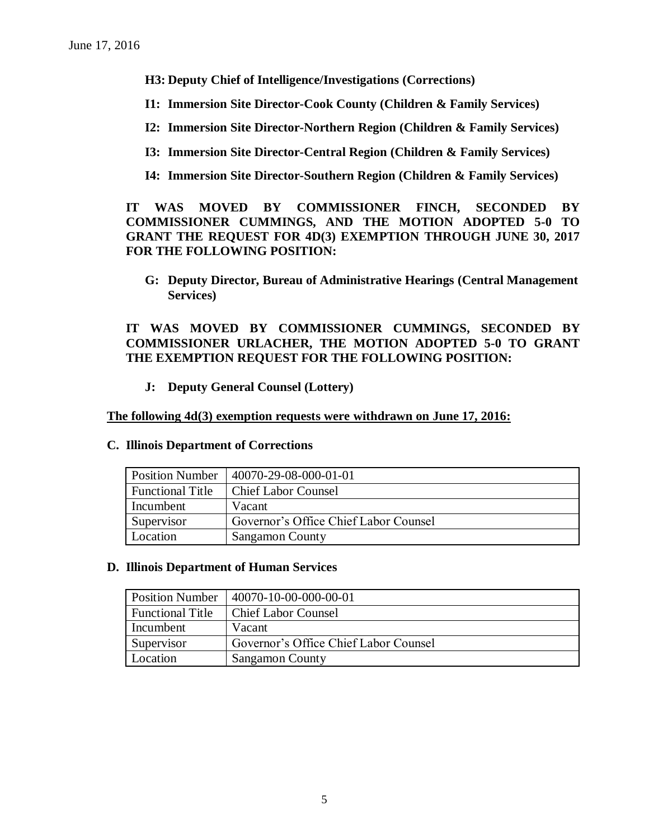**H3: Deputy Chief of Intelligence/Investigations (Corrections)**

- **I1: Immersion Site Director-Cook County (Children & Family Services)**
- **I2: Immersion Site Director-Northern Region (Children & Family Services)**
- **I3: Immersion Site Director-Central Region (Children & Family Services)**
- **I4: Immersion Site Director-Southern Region (Children & Family Services)**

**IT WAS MOVED BY COMMISSIONER FINCH, SECONDED BY COMMISSIONER CUMMINGS, AND THE MOTION ADOPTED 5-0 TO GRANT THE REQUEST FOR 4D(3) EXEMPTION THROUGH JUNE 30, 2017 FOR THE FOLLOWING POSITION:**

**G: Deputy Director, Bureau of Administrative Hearings (Central Management Services)**

**IT WAS MOVED BY COMMISSIONER CUMMINGS, SECONDED BY COMMISSIONER URLACHER, THE MOTION ADOPTED 5-0 TO GRANT THE EXEMPTION REQUEST FOR THE FOLLOWING POSITION:**

**J: Deputy General Counsel (Lottery)**

**The following 4d(3) exemption requests were withdrawn on June 17, 2016:**

| <b>Position Number</b>  | 40070-29-08-000-01-01                 |
|-------------------------|---------------------------------------|
| <b>Functional Title</b> | <b>Chief Labor Counsel</b>            |
| Incumbent               | Vacant                                |
| Supervisor              | Governor's Office Chief Labor Counsel |

#### **C. Illinois Department of Corrections**

**D. Illinois Department of Human Services** 

Location Sangamon County

| <b>Position Number</b>  | 40070-10-00-000-00-01                 |
|-------------------------|---------------------------------------|
| <b>Functional Title</b> | <b>Chief Labor Counsel</b>            |
| Incumbent               | Vacant                                |
| Supervisor              | Governor's Office Chief Labor Counsel |
| Location                | <b>Sangamon County</b>                |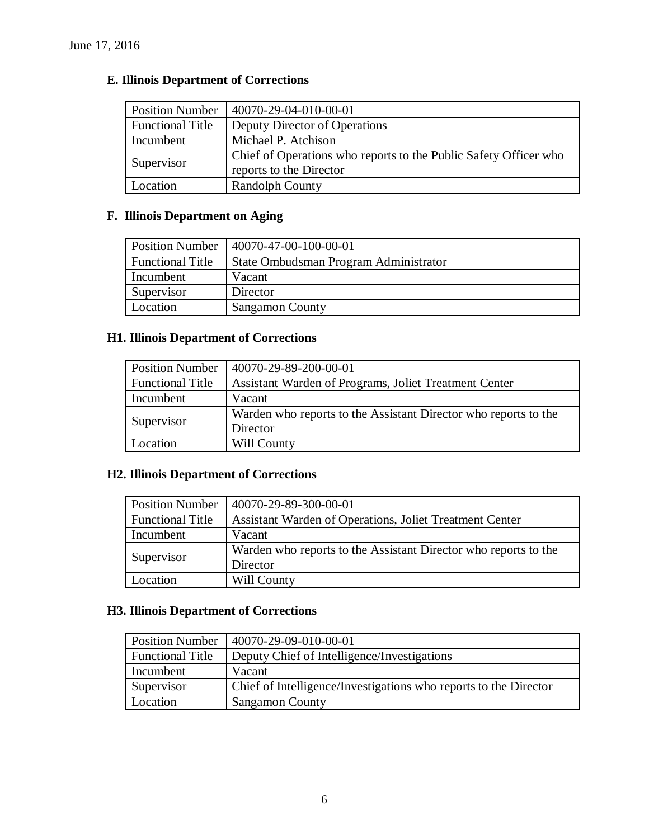## **E. Illinois Department of Corrections**

| <b>Position Number</b>  | 40070-29-04-010-00-01                                            |
|-------------------------|------------------------------------------------------------------|
| <b>Functional Title</b> | Deputy Director of Operations                                    |
| Incumbent               | Michael P. Atchison                                              |
| Supervisor              | Chief of Operations who reports to the Public Safety Officer who |
|                         | reports to the Director                                          |
| Location                | <b>Randolph County</b>                                           |

### **F. Illinois Department on Aging**

| <b>Position Number</b>  | 40070-47-00-100-00-01                 |
|-------------------------|---------------------------------------|
| <b>Functional Title</b> | State Ombudsman Program Administrator |
| Incumbent               | Vacant                                |
| Supervisor              | Director                              |
| Location                | <b>Sangamon County</b>                |

### **H1. Illinois Department of Corrections**

| <b>Position Number</b>  | 40070-29-89-200-00-01                                           |
|-------------------------|-----------------------------------------------------------------|
| <b>Functional Title</b> | Assistant Warden of Programs, Joliet Treatment Center           |
| Incumbent               | Vacant                                                          |
| Supervisor              | Warden who reports to the Assistant Director who reports to the |
|                         | Director                                                        |
| Location                | Will County                                                     |

### **H2. Illinois Department of Corrections**

| <b>Position Number</b>  | 40070-29-89-300-00-01                                           |
|-------------------------|-----------------------------------------------------------------|
| <b>Functional Title</b> | Assistant Warden of Operations, Joliet Treatment Center         |
| Incumbent               | Vacant                                                          |
| Supervisor              | Warden who reports to the Assistant Director who reports to the |
|                         | Director                                                        |
| Location                | Will County                                                     |

### **H3. Illinois Department of Corrections**

| <b>Position Number</b>  | 40070-29-09-010-00-01                                            |
|-------------------------|------------------------------------------------------------------|
| <b>Functional Title</b> | Deputy Chief of Intelligence/Investigations                      |
| Incumbent               | Vacant                                                           |
| Supervisor              | Chief of Intelligence/Investigations who reports to the Director |
| Location                | <b>Sangamon County</b>                                           |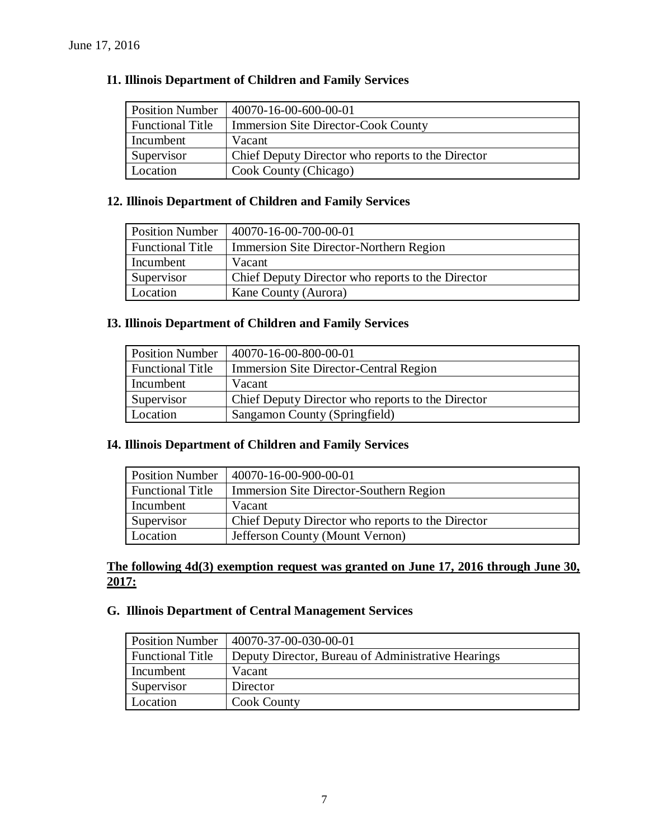| <b>Position Number</b>  | 40070-16-00-600-00-01                             |
|-------------------------|---------------------------------------------------|
| <b>Functional Title</b> | <b>Immersion Site Director-Cook County</b>        |
| Incumbent               | Vacant                                            |
| Supervisor              | Chief Deputy Director who reports to the Director |
| Location                | Cook County (Chicago)                             |

### **12. Illinois Department of Children and Family Services**

| <b>Position Number</b>  | 40070-16-00-700-00-01                             |
|-------------------------|---------------------------------------------------|
| <b>Functional Title</b> | Immersion Site Director-Northern Region           |
| Incumbent               | Vacant                                            |
| Supervisor              | Chief Deputy Director who reports to the Director |
| Location                | Kane County (Aurora)                              |

### **I3. Illinois Department of Children and Family Services**

| <b>Position Number</b>  | 40070-16-00-800-00-01                             |
|-------------------------|---------------------------------------------------|
| <b>Functional Title</b> | <b>Immersion Site Director-Central Region</b>     |
| Incumbent               | Vacant                                            |
| Supervisor              | Chief Deputy Director who reports to the Director |
| Location                | Sangamon County (Springfield)                     |

### **I4. Illinois Department of Children and Family Services**

| <b>Position Number</b>  | 40070-16-00-900-00-01                             |
|-------------------------|---------------------------------------------------|
| <b>Functional Title</b> | Immersion Site Director-Southern Region           |
| Incumbent               | Vacant                                            |
| Supervisor              | Chief Deputy Director who reports to the Director |
| Location                | Jefferson County (Mount Vernon)                   |

### **The following 4d(3) exemption request was granted on June 17, 2016 through June 30, 2017:**

#### **G. Illinois Department of Central Management Services**

| <b>Position Number</b>  | 40070-37-00-030-00-01                              |
|-------------------------|----------------------------------------------------|
| <b>Functional Title</b> | Deputy Director, Bureau of Administrative Hearings |
| Incumbent               | Vacant                                             |
| Supervisor              | Director                                           |
| Location                | <b>Cook County</b>                                 |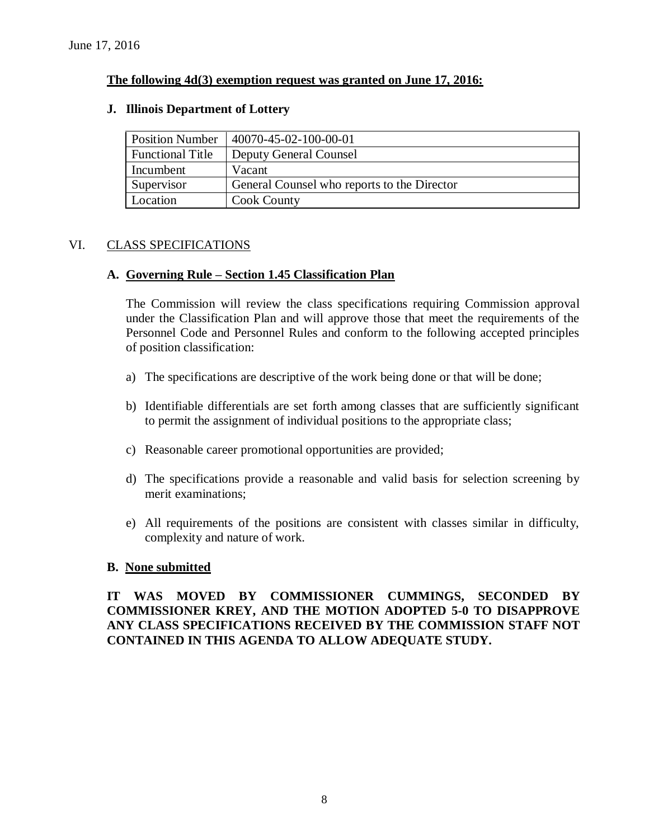### **The following 4d(3) exemption request was granted on June 17, 2016:**

#### **J. Illinois Department of Lottery**

| <b>Position Number</b>  | 40070-45-02-100-00-01                       |
|-------------------------|---------------------------------------------|
| <b>Functional Title</b> | <b>Deputy General Counsel</b>               |
| Incumbent               | Vacant                                      |
| Supervisor              | General Counsel who reports to the Director |
| Location                | <b>Cook County</b>                          |

#### VI. CLASS SPECIFICATIONS

#### **A. Governing Rule – Section 1.45 Classification Plan**

The Commission will review the class specifications requiring Commission approval under the Classification Plan and will approve those that meet the requirements of the Personnel Code and Personnel Rules and conform to the following accepted principles of position classification:

- a) The specifications are descriptive of the work being done or that will be done;
- b) Identifiable differentials are set forth among classes that are sufficiently significant to permit the assignment of individual positions to the appropriate class;
- c) Reasonable career promotional opportunities are provided;
- d) The specifications provide a reasonable and valid basis for selection screening by merit examinations;
- e) All requirements of the positions are consistent with classes similar in difficulty, complexity and nature of work.

#### **B. None submitted**

**IT WAS MOVED BY COMMISSIONER CUMMINGS, SECONDED BY COMMISSIONER KREY, AND THE MOTION ADOPTED 5-0 TO DISAPPROVE ANY CLASS SPECIFICATIONS RECEIVED BY THE COMMISSION STAFF NOT CONTAINED IN THIS AGENDA TO ALLOW ADEQUATE STUDY.**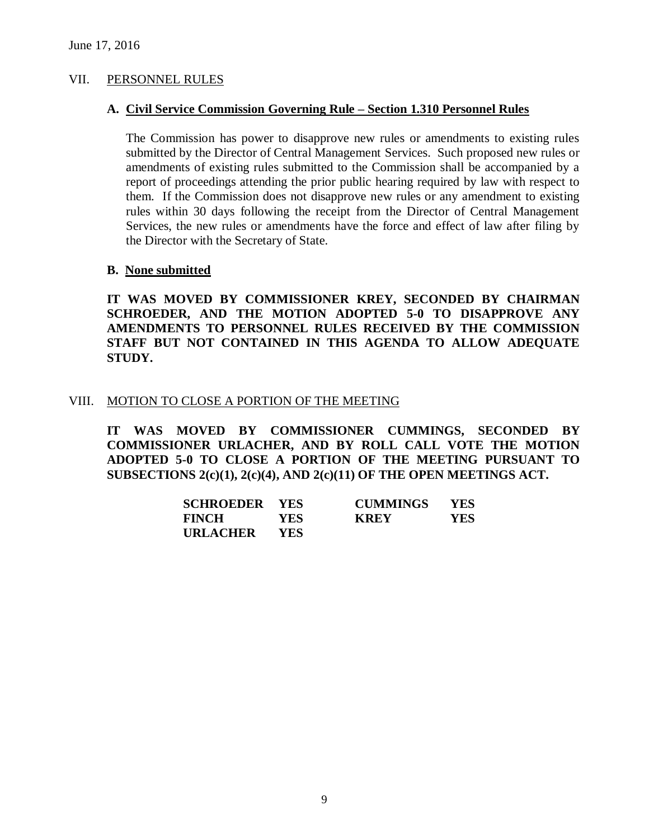#### VII. PERSONNEL RULES

#### **A. Civil Service Commission Governing Rule – Section 1.310 Personnel Rules**

The Commission has power to disapprove new rules or amendments to existing rules submitted by the Director of Central Management Services. Such proposed new rules or amendments of existing rules submitted to the Commission shall be accompanied by a report of proceedings attending the prior public hearing required by law with respect to them. If the Commission does not disapprove new rules or any amendment to existing rules within 30 days following the receipt from the Director of Central Management Services, the new rules or amendments have the force and effect of law after filing by the Director with the Secretary of State.

#### **B. None submitted**

**IT WAS MOVED BY COMMISSIONER KREY, SECONDED BY CHAIRMAN SCHROEDER, AND THE MOTION ADOPTED 5-0 TO DISAPPROVE ANY AMENDMENTS TO PERSONNEL RULES RECEIVED BY THE COMMISSION STAFF BUT NOT CONTAINED IN THIS AGENDA TO ALLOW ADEQUATE STUDY.** 

#### VIII. MOTION TO CLOSE A PORTION OF THE MEETING

**IT WAS MOVED BY COMMISSIONER CUMMINGS, SECONDED BY COMMISSIONER URLACHER, AND BY ROLL CALL VOTE THE MOTION ADOPTED 5-0 TO CLOSE A PORTION OF THE MEETING PURSUANT TO SUBSECTIONS 2(c)(1), 2(c)(4), AND 2(c)(11) OF THE OPEN MEETINGS ACT.**

| <b>SCHROEDER YES</b> |      | <b>CUMMINGS</b> | <b>YES</b> |
|----------------------|------|-----------------|------------|
| <b>FINCH</b>         | YES- | <b>KREY</b>     | YES.       |
| <b>URLACHER</b>      | YES. |                 |            |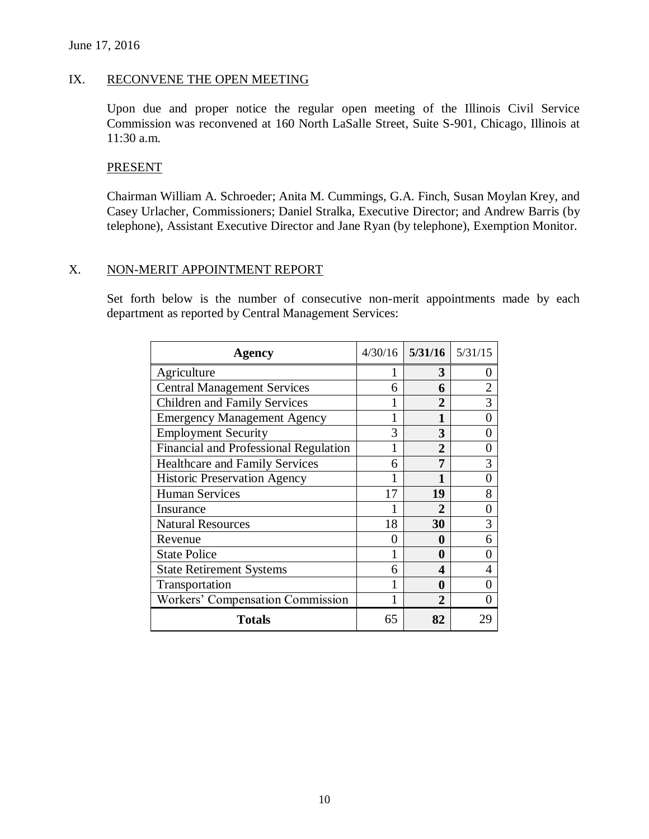#### June 17, 2016

#### IX. RECONVENE THE OPEN MEETING

Upon due and proper notice the regular open meeting of the Illinois Civil Service Commission was reconvened at 160 North LaSalle Street, Suite S-901, Chicago, Illinois at 11:30 a.m.

#### **PRESENT**

Chairman William A. Schroeder; Anita M. Cummings, G.A. Finch, Susan Moylan Krey, and Casey Urlacher, Commissioners; Daniel Stralka, Executive Director; and Andrew Barris (by telephone), Assistant Executive Director and Jane Ryan (by telephone), Exemption Monitor.

#### X. NON-MERIT APPOINTMENT REPORT

Set forth below is the number of consecutive non-merit appointments made by each department as reported by Central Management Services:

| <b>Agency</b>                         |    | $4/30/16$ 5/31/16 | 5/31/15 |
|---------------------------------------|----|-------------------|---------|
| Agriculture                           |    | 3                 |         |
| <b>Central Management Services</b>    | 6  | 6                 |         |
| <b>Children and Family Services</b>   |    | 2                 | 3       |
| <b>Emergency Management Agency</b>    |    |                   |         |
| <b>Employment Security</b>            | 3  | 3                 |         |
| Financial and Professional Regulation |    | $\mathbf{2}$      |         |
| <b>Healthcare and Family Services</b> | 6  | 7                 | 3       |
| <b>Historic Preservation Agency</b>   |    |                   |         |
| <b>Human Services</b>                 | 17 | 19                | 8       |
| Insurance                             |    | 2                 |         |
| <b>Natural Resources</b>              | 18 | 30                | 3       |
| Revenue                               | 0  | 0                 | 6       |
| <b>State Police</b>                   | 1  | 0                 |         |
| <b>State Retirement Systems</b>       | 6  | Δ                 | 4       |
| Transportation                        |    | 0                 |         |
| Workers' Compensation Commission      |    | $\mathbf{2}$      |         |
| <b>Totals</b>                         | 65 | 82                |         |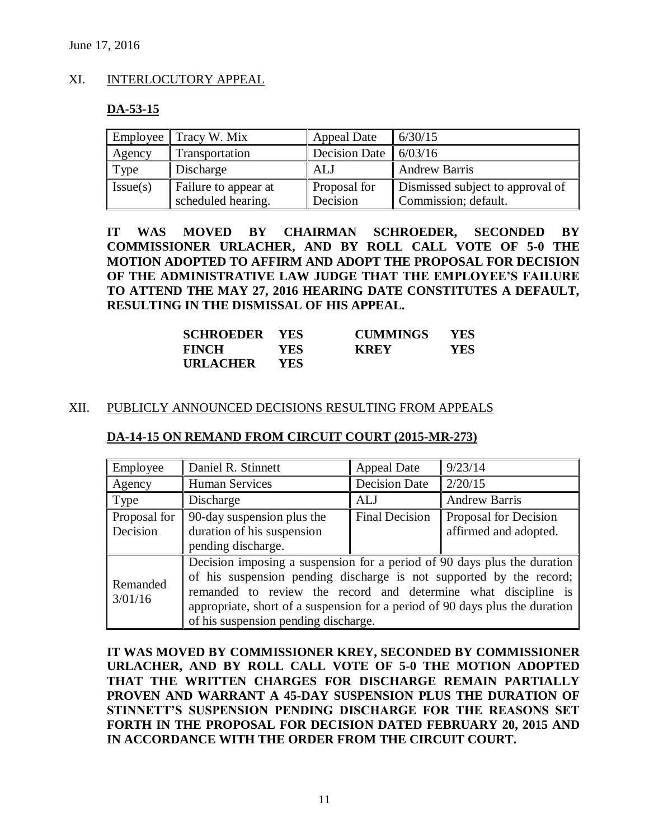### XI. INTERLOCUTORY APPEAL

#### **DA-53-15**

|          | Employee $\parallel$ Tracy W. Mix | <b>Appeal Date</b>      | 6/30/15                          |
|----------|-----------------------------------|-------------------------|----------------------------------|
| Agency   | Transportation                    | Decision Date $6/03/16$ |                                  |
| Type     | Discharge                         | <b>ALJ</b>              | <b>Andrew Barris</b>             |
| Issue(s) | Failure to appear at              | <b>Proposal for</b>     | Dismissed subject to approval of |
|          | scheduled hearing.                | Decision                | Commission; default.             |

**IT WAS MOVED BY CHAIRMAN SCHROEDER, SECONDED BY COMMISSIONER URLACHER, AND BY ROLL CALL VOTE OF 5-0 THE MOTION ADOPTED TO AFFIRM AND ADOPT THE PROPOSAL FOR DECISION OF THE ADMINISTRATIVE LAW JUDGE THAT THE EMPLOYEE'S FAILURE TO ATTEND THE MAY 27, 2016 HEARING DATE CONSTITUTES A DEFAULT, RESULTING IN THE DISMISSAL OF HIS APPEAL.** 

| <b>SCHROEDER YES</b> |      | <b>CUMMINGS</b> | <b>YES</b> |
|----------------------|------|-----------------|------------|
| <b>FINCH</b>         | YES- | <b>KREY</b>     | YES        |
| <b>URLACHER</b>      | YES. |                 |            |

#### XII. PUBLICLY ANNOUNCED DECISIONS RESULTING FROM APPEALS

| Employee                 | Daniel R. Stinnett                                                                                                                                                                                                                                                                                                                        | <b>Appeal Date</b>    | 9/23/14                                               |  |
|--------------------------|-------------------------------------------------------------------------------------------------------------------------------------------------------------------------------------------------------------------------------------------------------------------------------------------------------------------------------------------|-----------------------|-------------------------------------------------------|--|
| Agency                   | <b>Human Services</b>                                                                                                                                                                                                                                                                                                                     | <b>Decision Date</b>  | 2/20/15                                               |  |
| Type                     | Discharge                                                                                                                                                                                                                                                                                                                                 | <b>ALJ</b>            | <b>Andrew Barris</b>                                  |  |
| Proposal for<br>Decision | 90-day suspension plus the<br>duration of his suspension<br>pending discharge.                                                                                                                                                                                                                                                            | <b>Final Decision</b> | <b>Proposal for Decision</b><br>affirmed and adopted. |  |
| Remanded<br>3/01/16      | Decision imposing a suspension for a period of 90 days plus the duration<br>of his suspension pending discharge is not supported by the record;<br>remanded to review the record and determine what discipline is<br>appropriate, short of a suspension for a period of 90 days plus the duration<br>of his suspension pending discharge. |                       |                                                       |  |

#### **DA-14-15 ON REMAND FROM CIRCUIT COURT (2015-MR-273)**

**IT WAS MOVED BY COMMISSIONER KREY, SECONDED BY COMMISSIONER URLACHER, AND BY ROLL CALL VOTE OF 5-0 THE MOTION ADOPTED THAT THE WRITTEN CHARGES FOR DISCHARGE REMAIN PARTIALLY PROVEN AND WARRANT A 45-DAY SUSPENSION PLUS THE DURATION OF STINNETT'S SUSPENSION PENDING DISCHARGE FOR THE REASONS SET FORTH IN THE PROPOSAL FOR DECISION DATED FEBRUARY 20, 2015 AND IN ACCORDANCE WITH THE ORDER FROM THE CIRCUIT COURT.**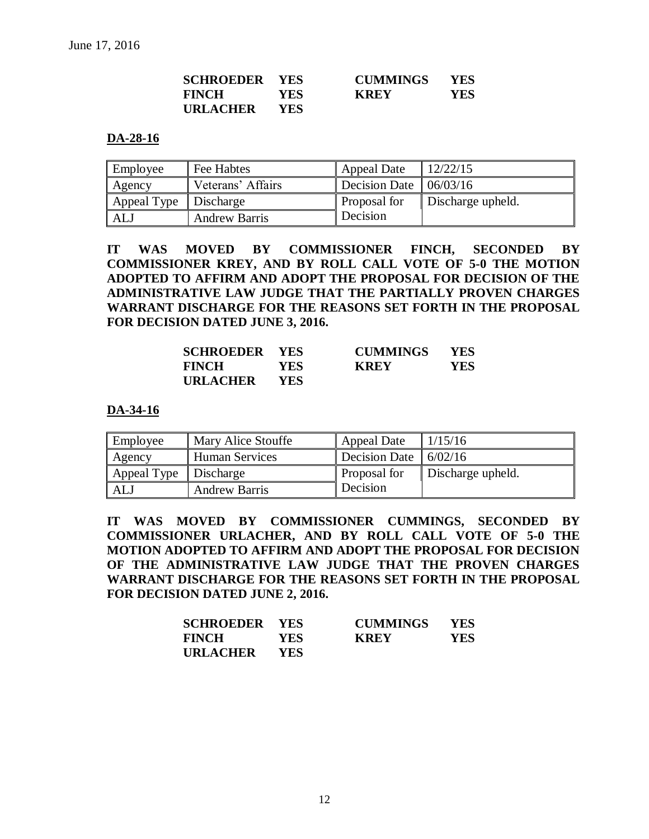| <b>SCHROEDER YES</b> |            | <b>CUMMINGS</b> | <b>YES</b> |
|----------------------|------------|-----------------|------------|
| <b>FINCH</b>         | <b>YES</b> | <b>KREY</b>     | <b>YES</b> |
| URLACHER             | <b>YES</b> |                 |            |

#### **DA-28-16**

| Employee    | Fee Habtes           | <b>Appeal Date</b>                 | 12/22/15          |
|-------------|----------------------|------------------------------------|-------------------|
| Agency      | Veterans' Affairs    | Decision Date $\parallel$ 06/03/16 |                   |
| Appeal Type | Discharge            | Proposal for                       | Discharge upheld. |
| ALJ         | <b>Andrew Barris</b> | Decision                           |                   |

**IT WAS MOVED BY COMMISSIONER FINCH, SECONDED BY COMMISSIONER KREY, AND BY ROLL CALL VOTE OF 5-0 THE MOTION ADOPTED TO AFFIRM AND ADOPT THE PROPOSAL FOR DECISION OF THE ADMINISTRATIVE LAW JUDGE THAT THE PARTIALLY PROVEN CHARGES WARRANT DISCHARGE FOR THE REASONS SET FORTH IN THE PROPOSAL FOR DECISION DATED JUNE 3, 2016.**

| <b>SCHROEDER YES</b> |            | <b>CUMMINGS</b> | <b>YES</b> |
|----------------------|------------|-----------------|------------|
| <b>FINCH</b>         | <b>YES</b> | <b>KREY</b>     | YES.       |
| <b>URLACHER</b>      | <b>YES</b> |                 |            |

#### **DA-34-16**

| Employee    | Mary Alice Stouffe    | <b>Appeal Date</b>                        | 1/15/16           |
|-------------|-----------------------|-------------------------------------------|-------------------|
| Agency      | <b>Human Services</b> | Decision Date $\vert \vert 6/02/16 \vert$ |                   |
| Appeal Type | Discharge             | Proposal for                              | Discharge upheld. |
| ALJ         | <b>Andrew Barris</b>  | Decision                                  |                   |

**IT WAS MOVED BY COMMISSIONER CUMMINGS, SECONDED BY COMMISSIONER URLACHER, AND BY ROLL CALL VOTE OF 5-0 THE MOTION ADOPTED TO AFFIRM AND ADOPT THE PROPOSAL FOR DECISION OF THE ADMINISTRATIVE LAW JUDGE THAT THE PROVEN CHARGES WARRANT DISCHARGE FOR THE REASONS SET FORTH IN THE PROPOSAL FOR DECISION DATED JUNE 2, 2016.**

| <b>SCHROEDER YES</b> |            | <b>CUMMINGS</b> | <b>YES</b> |
|----------------------|------------|-----------------|------------|
| <b>FINCH</b>         | <b>YES</b> | <b>KREY</b>     | YES        |
| <b>URLACHER</b>      | YES.       |                 |            |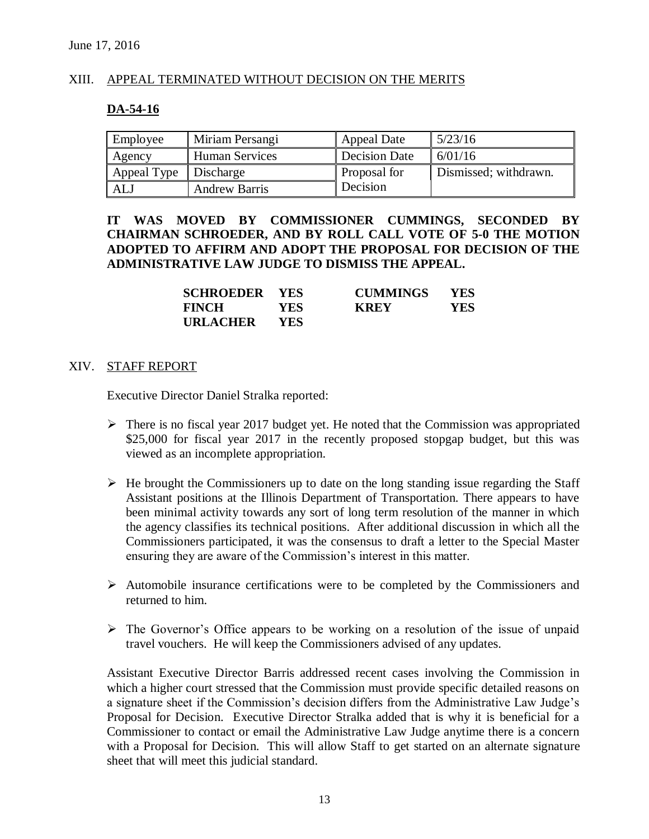### XIII. APPEAL TERMINATED WITHOUT DECISION ON THE MERITS

#### **DA-54-16**

| Employee              | Miriam Persangi       | <b>Appeal Date</b>   | 15/23/16              |
|-----------------------|-----------------------|----------------------|-----------------------|
| Agency                | <b>Human Services</b> | <b>Decision Date</b> | 6/01/16               |
| Appeal Type Discharge |                       | Proposal for         | Dismissed; withdrawn. |
| ALJ                   | <b>Andrew Barris</b>  | Decision             |                       |

**IT WAS MOVED BY COMMISSIONER CUMMINGS, SECONDED BY CHAIRMAN SCHROEDER, AND BY ROLL CALL VOTE OF 5-0 THE MOTION ADOPTED TO AFFIRM AND ADOPT THE PROPOSAL FOR DECISION OF THE ADMINISTRATIVE LAW JUDGE TO DISMISS THE APPEAL.**

| <b>SCHROEDER YES</b> |      | <b>CUMMINGS</b> | <b>YES</b> |
|----------------------|------|-----------------|------------|
| <b>FINCH</b>         | YES. | <b>KREY</b>     | YES        |
| <b>URLACHER</b>      | YES. |                 |            |

#### XIV. STAFF REPORT

Executive Director Daniel Stralka reported:

- $\triangleright$  There is no fiscal year 2017 budget yet. He noted that the Commission was appropriated \$25,000 for fiscal year 2017 in the recently proposed stopgap budget, but this was viewed as an incomplete appropriation.
- $\triangleright$  He brought the Commissioners up to date on the long standing issue regarding the Staff Assistant positions at the Illinois Department of Transportation. There appears to have been minimal activity towards any sort of long term resolution of the manner in which the agency classifies its technical positions. After additional discussion in which all the Commissioners participated, it was the consensus to draft a letter to the Special Master ensuring they are aware of the Commission's interest in this matter.
- $\triangleright$  Automobile insurance certifications were to be completed by the Commissioners and returned to him.
- $\triangleright$  The Governor's Office appears to be working on a resolution of the issue of unpaid travel vouchers. He will keep the Commissioners advised of any updates.

Assistant Executive Director Barris addressed recent cases involving the Commission in which a higher court stressed that the Commission must provide specific detailed reasons on a signature sheet if the Commission's decision differs from the Administrative Law Judge's Proposal for Decision. Executive Director Stralka added that is why it is beneficial for a Commissioner to contact or email the Administrative Law Judge anytime there is a concern with a Proposal for Decision. This will allow Staff to get started on an alternate signature sheet that will meet this judicial standard.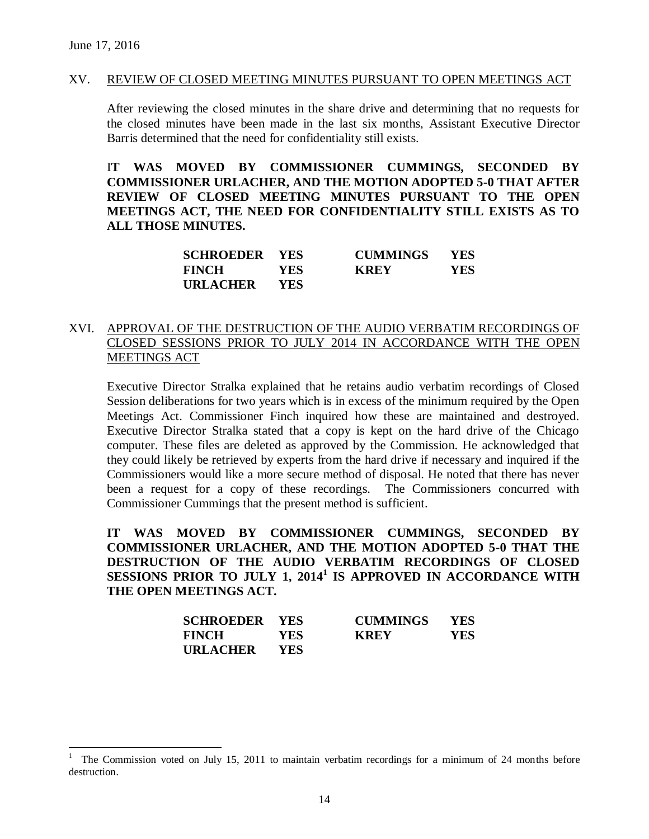$\overline{a}$ 

#### XV. REVIEW OF CLOSED MEETING MINUTES PURSUANT TO OPEN MEETINGS ACT

After reviewing the closed minutes in the share drive and determining that no requests for the closed minutes have been made in the last six months, Assistant Executive Director Barris determined that the need for confidentiality still exists.

I**T WAS MOVED BY COMMISSIONER CUMMINGS, SECONDED BY COMMISSIONER URLACHER, AND THE MOTION ADOPTED 5-0 THAT AFTER REVIEW OF CLOSED MEETING MINUTES PURSUANT TO THE OPEN MEETINGS ACT, THE NEED FOR CONFIDENTIALITY STILL EXISTS AS TO ALL THOSE MINUTES.**

| <b>SCHROEDER YES</b> |            | <b>CUMMINGS</b> | <b>YES</b> |
|----------------------|------------|-----------------|------------|
| <b>FINCH</b>         | YES.       | <b>KREY</b>     | YES.       |
| URLACHER             | <b>YES</b> |                 |            |

#### XVI. APPROVAL OF THE DESTRUCTION OF THE AUDIO VERBATIM RECORDINGS OF CLOSED SESSIONS PRIOR TO JULY 2014 IN ACCORDANCE WITH THE OPEN MEETINGS ACT

Executive Director Stralka explained that he retains audio verbatim recordings of Closed Session deliberations for two years which is in excess of the minimum required by the Open Meetings Act. Commissioner Finch inquired how these are maintained and destroyed. Executive Director Stralka stated that a copy is kept on the hard drive of the Chicago computer. These files are deleted as approved by the Commission. He acknowledged that they could likely be retrieved by experts from the hard drive if necessary and inquired if the Commissioners would like a more secure method of disposal. He noted that there has never been a request for a copy of these recordings. The Commissioners concurred with Commissioner Cummings that the present method is sufficient.

**IT WAS MOVED BY COMMISSIONER CUMMINGS, SECONDED BY COMMISSIONER URLACHER, AND THE MOTION ADOPTED 5-0 THAT THE DESTRUCTION OF THE AUDIO VERBATIM RECORDINGS OF CLOSED SESSIONS PRIOR TO JULY 1, 2014<sup>1</sup> IS APPROVED IN ACCORDANCE WITH THE OPEN MEETINGS ACT.**

| <b>SCHROEDER YES</b> |            | <b>CUMMINGS</b> | <b>YES</b> |
|----------------------|------------|-----------------|------------|
| <b>FINCH</b>         | <b>YES</b> | <b>KREY</b>     | YES        |
| <b>URLACHER</b>      | <b>YES</b> |                 |            |

<sup>1</sup> The Commission voted on July 15, 2011 to maintain verbatim recordings for a minimum of 24 months before destruction.